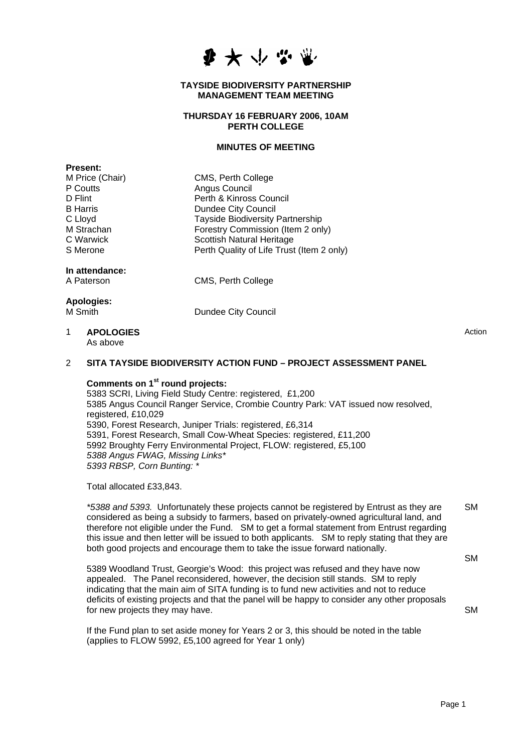

#### **TAYSIDE BIODIVERSITY PARTNERSHIP MANAGEMENT TEAM MEETING**

## **THURSDAY 16 FEBRUARY 2006, 10AM PERTH COLLEGE**

## **MINUTES OF MEETING**

| гтезепт.          |                                           |
|-------------------|-------------------------------------------|
| M Price (Chair)   | CMS, Perth College                        |
| P Coutts          | Angus Council                             |
| D Flint           | Perth & Kinross Council                   |
| <b>B</b> Harris   | Dundee City Council                       |
| C Lloyd           | Tayside Biodiversity Partnership          |
| M Strachan        | Forestry Commission (Item 2 only)         |
| C Warwick         | Scottish Natural Heritage                 |
| S Merone          | Perth Quality of Life Trust (Item 2 only) |
| In attendance:    |                                           |
| A Paterson        | CMS, Perth College                        |
| <b>Apologies:</b> |                                           |
| M Smith           | Dundee City Council                       |
|                   |                                           |

1 **APOLOGIES**  As above

**Present:** 

Action

#### 2 **SITA TAYSIDE BIODIVERSITY ACTION FUND – PROJECT ASSESSMENT PANEL**

# **Comments on 1st round projects:**

5383 SCRI, Living Field Study Centre: registered, £1,200 5385 Angus Council Ranger Service, Crombie Country Park: VAT issued now resolved, registered, £10,029 5390, Forest Research, Juniper Trials: registered, £6,314 5391, Forest Research, Small Cow-Wheat Species: registered, £11,200 5992 Broughty Ferry Environmental Project, FLOW: registered, £5,100 *5388 Angus FWAG, Missing Links\* 5393 RBSP, Corn Bunting: \** 

Total allocated £33,843.

*\*5388 and 5393.* Unfortunately these projects cannot be registered by Entrust as they are considered as being a subsidy to farmers, based on privately-owned agricultural land, and therefore not eligible under the Fund. SM to get a formal statement from Entrust regarding this issue and then letter will be issued to both applicants. SM to reply stating that they are both good projects and encourage them to take the issue forward nationally. **SM** 

5389 Woodland Trust, Georgie's Wood: this project was refused and they have now appealed. The Panel reconsidered, however, the decision still stands. SM to reply indicating that the main aim of SITA funding is to fund new activities and not to reduce deficits of existing projects and that the panel will be happy to consider any other proposals for new projects they may have.

If the Fund plan to set aside money for Years 2 or 3, this should be noted in the table (applies to FLOW 5992, £5,100 agreed for Year 1 only)

**SM** 

**SM**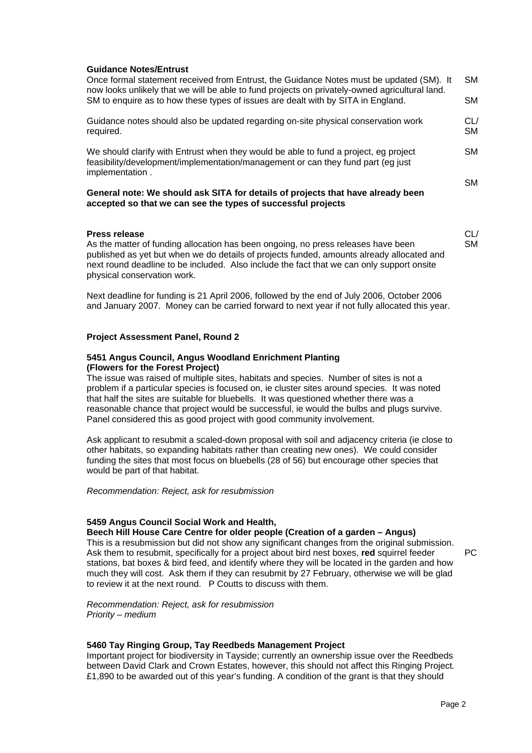## **Guidance Notes/Entrust**

| Once formal statement received from Entrust, the Guidance Notes must be updated (SM). It<br>now looks unlikely that we will be able to fund projects on privately-owned agricultural land.<br>SM to enquire as to how these types of issues are dealt with by SITA in England.                             | <b>SM</b><br>SM. |
|------------------------------------------------------------------------------------------------------------------------------------------------------------------------------------------------------------------------------------------------------------------------------------------------------------|------------------|
|                                                                                                                                                                                                                                                                                                            |                  |
| Guidance notes should also be updated regarding on-site physical conservation work<br>required.                                                                                                                                                                                                            | CL/<br><b>SM</b> |
| We should clarify with Entrust when they would be able to fund a project, eg project<br>feasibility/development/implementation/management or can they fund part (eq just<br>implementation.                                                                                                                |                  |
|                                                                                                                                                                                                                                                                                                            | SM.              |
| General note: We should ask SITA for details of projects that have already been<br>accepted so that we can see the types of successful projects                                                                                                                                                            |                  |
| <b>Press release</b>                                                                                                                                                                                                                                                                                       | CL/              |
| As the matter of funding allocation has been ongoing, no press releases have been<br>published as yet but when we do details of projects funded, amounts already allocated and<br>next round deadline to be included. Also include the fact that we can only support onsite<br>physical conservation work. | <b>SM</b>        |

Next deadline for funding is 21 April 2006, followed by the end of July 2006, October 2006 and January 2007. Money can be carried forward to next year if not fully allocated this year.

## **Project Assessment Panel, Round 2**

## **5451 Angus Council, Angus Woodland Enrichment Planting (Flowers for the Forest Project)**

The issue was raised of multiple sites, habitats and species. Number of sites is not a problem if a particular species is focused on, ie cluster sites around species. It was noted that half the sites are suitable for bluebells. It was questioned whether there was a reasonable chance that project would be successful, ie would the bulbs and plugs survive. Panel considered this as good project with good community involvement.

Ask applicant to resubmit a scaled-down proposal with soil and adjacency criteria (ie close to other habitats, so expanding habitats rather than creating new ones). We could consider funding the sites that most focus on bluebells (28 of 56) but encourage other species that would be part of that habitat.

*Recommendation: Reject, ask for resubmission* 

#### **5459 Angus Council Social Work and Health,**

**Beech Hill House Care Centre for older people (Creation of a garden – Angus)**  This is a resubmission but did not show any significant changes from the original submission. Ask them to resubmit, specifically for a project about bird nest boxes, **red** squirrel feeder stations, bat boxes & bird feed, and identify where they will be located in the garden and how much they will cost. Ask them if they can resubmit by 27 February, otherwise we will be glad to review it at the next round. P Coutts to discuss with them.

*Recommendation: Reject, ask for resubmission Priority – medium* 

#### **5460 Tay Ringing Group, Tay Reedbeds Management Project**

Important project for biodiversity in Tayside; currently an ownership issue over the Reedbeds between David Clark and Crown Estates, however, this should not affect this Ringing Project*.*  £1,890 to be awarded out of this year's funding. A condition of the grant is that they should

PC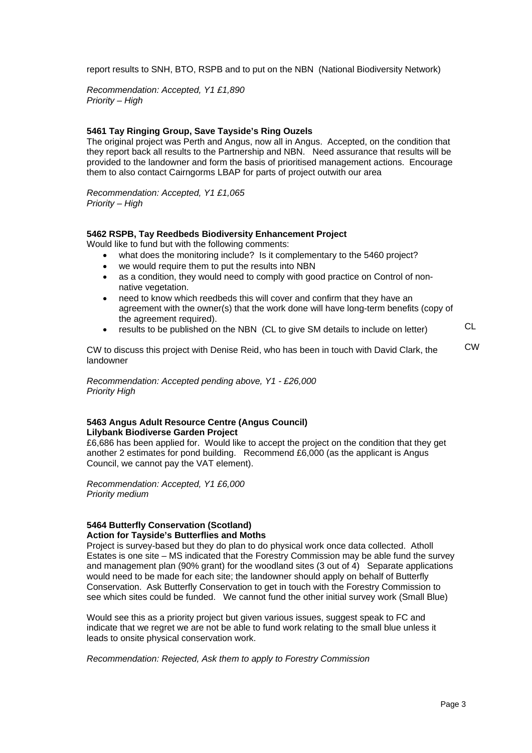report results to SNH, BTO, RSPB and to put on the NBN (National Biodiversity Network)

*Recommendation: Accepted, Y1 £1,890 Priority – High* 

## **5461 Tay Ringing Group, Save Tayside's Ring Ouzels**

The original project was Perth and Angus, now all in Angus. Accepted, on the condition that they report back all results to the Partnership and NBN. Need assurance that results will be provided to the landowner and form the basis of prioritised management actions. Encourage them to also contact Cairngorms LBAP for parts of project outwith our area

*Recommendation: Accepted, Y1 £1,065 Priority – High* 

#### **5462 RSPB, Tay Reedbeds Biodiversity Enhancement Project**

Would like to fund but with the following comments:

- what does the monitoring include? Is it complementary to the 5460 project?
- we would require them to put the results into NBN
- as a condition, they would need to comply with good practice on Control of nonnative vegetation.
- need to know which reedbeds this will cover and confirm that they have an agreement with the owner(s) that the work done will have long-term benefits (copy of the agreement required).
- results to be published on the NBN (CL to give SM details to include on letter) CL

CW to discuss this project with Denise Reid, who has been in touch with David Clark, the landowner **CW** 

*Recommendation: Accepted pending above, Y1 - £26,000 Priority High* 

#### **5463 Angus Adult Resource Centre (Angus Council) Lilybank Biodiverse Garden Project**

£6,686 has been applied for. Would like to accept the project on the condition that they get another 2 estimates for pond building. Recommend £6,000 (as the applicant is Angus Council, we cannot pay the VAT element).

*Recommendation: Accepted, Y1 £6,000 Priority medium* 

#### **5464 Butterfly Conservation (Scotland) Action for Tayside's Butterflies and Moths**

Project is survey-based but they do plan to do physical work once data collected. Atholl Estates is one site – MS indicated that the Forestry Commission may be able fund the survey and management plan (90% grant) for the woodland sites (3 out of 4) Separate applications would need to be made for each site; the landowner should apply on behalf of Butterfly Conservation. Ask Butterfly Conservation to get in touch with the Forestry Commission to see which sites could be funded. We cannot fund the other initial survey work (Small Blue)

Would see this as a priority project but given various issues, suggest speak to FC and indicate that we regret we are not be able to fund work relating to the small blue unless it leads to onsite physical conservation work.

*Recommendation: Rejected, Ask them to apply to Forestry Commission*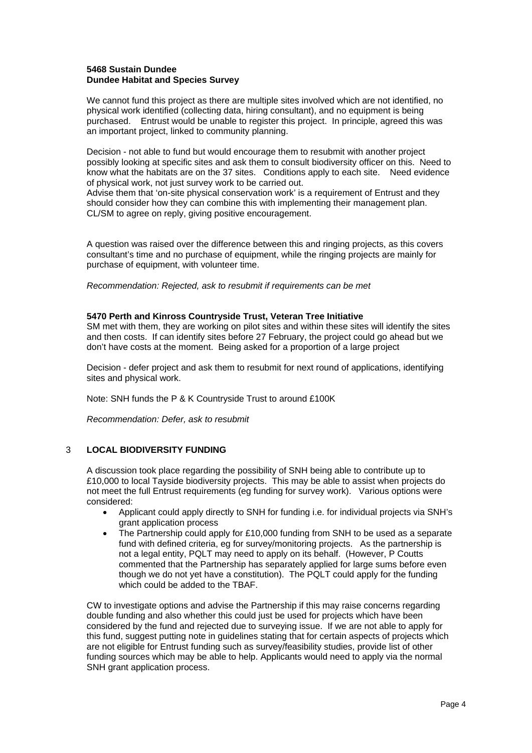## **5468 Sustain Dundee Dundee Habitat and Species Survey**

We cannot fund this project as there are multiple sites involved which are not identified, no physical work identified (collecting data, hiring consultant), and no equipment is being purchased. Entrust would be unable to register this project. In principle, agreed this was an important project, linked to community planning.

Decision - not able to fund but would encourage them to resubmit with another project possibly looking at specific sites and ask them to consult biodiversity officer on this. Need to know what the habitats are on the 37 sites. Conditions apply to each site. Need evidence of physical work, not just survey work to be carried out.

Advise them that 'on-site physical conservation work' is a requirement of Entrust and they should consider how they can combine this with implementing their management plan. CL/SM to agree on reply, giving positive encouragement.

A question was raised over the difference between this and ringing projects, as this covers consultant's time and no purchase of equipment, while the ringing projects are mainly for purchase of equipment, with volunteer time.

*Recommendation: Rejected, ask to resubmit if requirements can be met* 

## **5470 Perth and Kinross Countryside Trust, Veteran Tree Initiative**

SM met with them, they are working on pilot sites and within these sites will identify the sites and then costs. If can identify sites before 27 February, the project could go ahead but we don't have costs at the moment. Being asked for a proportion of a large project

Decision - defer project and ask them to resubmit for next round of applications, identifying sites and physical work.

Note: SNH funds the P & K Countryside Trust to around £100K

*Recommendation: Defer, ask to resubmit* 

## 3 **LOCAL BIODIVERSITY FUNDING**

A discussion took place regarding the possibility of SNH being able to contribute up to £10,000 to local Tayside biodiversity projects. This may be able to assist when projects do not meet the full Entrust requirements (eg funding for survey work). Various options were considered:

- Applicant could apply directly to SNH for funding i.e. for individual projects via SNH's grant application process
- The Partnership could apply for £10,000 funding from SNH to be used as a separate fund with defined criteria, eg for survey/monitoring projects. As the partnership is not a legal entity, PQLT may need to apply on its behalf. (However, P Coutts commented that the Partnership has separately applied for large sums before even though we do not yet have a constitution). The PQLT could apply for the funding which could be added to the TBAF.

CW to investigate options and advise the Partnership if this may raise concerns regarding double funding and also whether this could just be used for projects which have been considered by the fund and rejected due to surveying issue. If we are not able to apply for this fund, suggest putting note in guidelines stating that for certain aspects of projects which are not eligible for Entrust funding such as survey/feasibility studies, provide list of other funding sources which may be able to help. Applicants would need to apply via the normal SNH grant application process.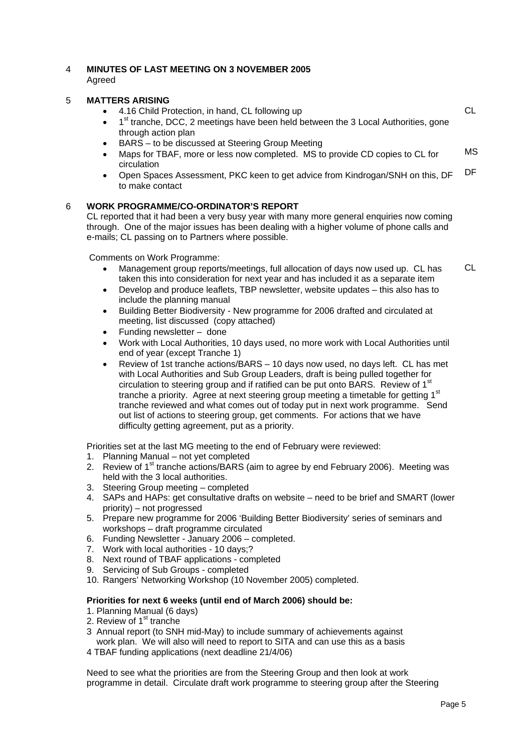## 4 **MINUTES OF LAST MEETING ON 3 NOVEMBER 2005**  Agreed

# 5 **MATTERS ARISING**

| ີ | <b>IVIA LENO ANIQUIU</b>                                                                                                                                                                                                                                                                    |     |
|---|---------------------------------------------------------------------------------------------------------------------------------------------------------------------------------------------------------------------------------------------------------------------------------------------|-----|
|   | • 4.16 Child Protection, in hand, CL following up                                                                                                                                                                                                                                           |     |
|   | 1 <sup>st</sup> tranche, DCC, 2 meetings have been held between the 3 Local Authorities, gone<br>$\bullet$<br>through action plan                                                                                                                                                           |     |
|   | • BARS – to be discussed at Steering Group Meeting                                                                                                                                                                                                                                          |     |
|   | Maps for TBAF, more or less now completed. MS to provide CD copies to CL for<br>$\bullet$<br>circulation                                                                                                                                                                                    | MS. |
|   | Open Spaces Assessment, PKC keen to get advice from Kindrogan/SNH on this, DF<br>$\bullet$<br>to make contact                                                                                                                                                                               | DF. |
| 6 | <b>WORK PROGRAMME/CO-ORDINATOR'S REPORT</b><br>CL reported that it had been a very busy year with many more general enquiries now coming<br>through. One of the major issues has been dealing with a higher volume of phone calls and<br>e-mails; CL passing on to Partners where possible. |     |

Comments on Work Programme:

- Management group reports/meetings, full allocation of days now used up. CL has taken this into consideration for next year and has included it as a separate item CL
- Develop and produce leaflets, TBP newsletter, website updates this also has to include the planning manual
- Building Better Biodiversity New programme for 2006 drafted and circulated at meeting, list discussed (copy attached)
- Funding newsletter done
- Work with Local Authorities, 10 days used, no more work with Local Authorities until end of year (except Tranche 1)
- Review of 1st tranche actions/BARS 10 days now used, no days left. CL has met with Local Authorities and Sub Group Leaders, draft is being pulled together for circulation to steering group and if ratified can be put onto BARS. Review of  $1<sup>st</sup>$ tranche a priority. Agree at next steering group meeting a timetable for getting 1<sup>st</sup> tranche reviewed and what comes out of today put in next work programme. Send out list of actions to steering group, get comments. For actions that we have difficulty getting agreement, put as a priority.

Priorities set at the last MG meeting to the end of February were reviewed:

- 1. Planning Manual not yet completed
- 2. Review of 1<sup>st</sup> tranche actions/BARS (aim to agree by end February 2006). Meeting was held with the 3 local authorities.
- 3. Steering Group meeting completed
- 4. SAPs and HAPs: get consultative drafts on website need to be brief and SMART (lower priority) – not progressed
- 5. Prepare new programme for 2006 'Building Better Biodiversity' series of seminars and workshops – draft programme circulated
- 6. Funding Newsletter January 2006 completed.
- 7. Work with local authorities 10 days;?
- 8. Next round of TBAF applications completed
- 9. Servicing of Sub Groups completed
- 10. Rangers' Networking Workshop (10 November 2005) completed.

## **Priorities for next 6 weeks (until end of March 2006) should be:**

- 1. Planning Manual (6 days)
- 2. Review of  $1<sup>st</sup>$  tranche
- 3 Annual report (to SNH mid-May) to include summary of achievements against work plan. We will also will need to report to SITA and can use this as a basis
- 4 TBAF funding applications (next deadline 21/4/06)

Need to see what the priorities are from the Steering Group and then look at work programme in detail. Circulate draft work programme to steering group after the Steering